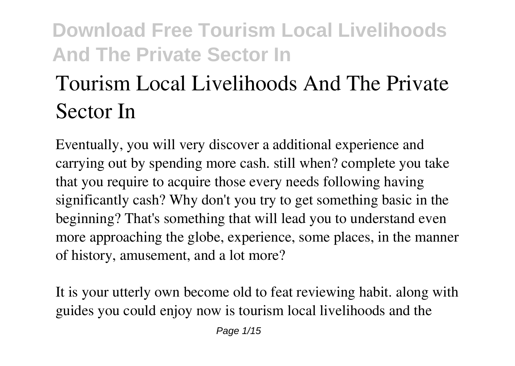# **Tourism Local Livelihoods And The Private Sector In**

Eventually, you will very discover a additional experience and carrying out by spending more cash. still when? complete you take that you require to acquire those every needs following having significantly cash? Why don't you try to get something basic in the beginning? That's something that will lead you to understand even more approaching the globe, experience, some places, in the manner of history, amusement, and a lot more?

It is your utterly own become old to feat reviewing habit. along with guides you could enjoy now is **tourism local livelihoods and the**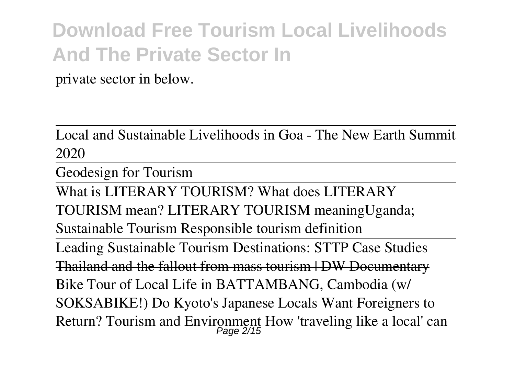**private sector in** below.

Local and Sustainable Livelihoods in Goa - The New Earth Summit 2020

Geodesign for Tourism

What is LITERARY TOURISM? What does LITERARY TOURISM mean? LITERARY TOURISM meaning*Uganda; Sustainable Tourism* **Responsible tourism definition**

Leading Sustainable Tourism Destinations: STTP Case Studies Thailand and the fallout from mass tourism | DW Documentary **Bike Tour of Local Life in BATTAMBANG, Cambodia (w/ SOKSABIKE!) Do Kyoto's Japanese Locals Want Foreigners to Return? Tourism and Environment How 'traveling like a local' can** Page 2/15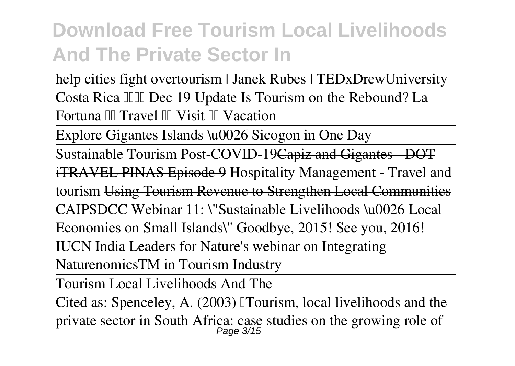**help cities fight overtourism | Janek Rubes | TEDxDrewUniversity** *Costa Rica Dec 19 Update Is Tourism on the Rebound? La Fortuna Travel Visit Vacation*

Explore Gigantes Islands \u0026 Sicogon in One Day

Sustainable Tourism Post-COVID-19Capiz and Gigantes DOT iTRAVEL PINAS Episode 9 **Hospitality Management - Travel and tourism** Using Tourism Revenue to Strengthen Local Communities *CAIPSDCC Webinar 11: \"Sustainable Livelihoods \u0026 Local Economies on Small Islands\"* **Goodbye, 2015! See you, 2016! IUCN India Leaders for Nature's webinar on Integrating NaturenomicsTM in Tourism Industry**

Tourism Local Livelihoods And The

Cited as: Spenceley, A. (2003) Tourism, local livelihoods and the private sector in South Africa: case studies on the growing role of Page 3/15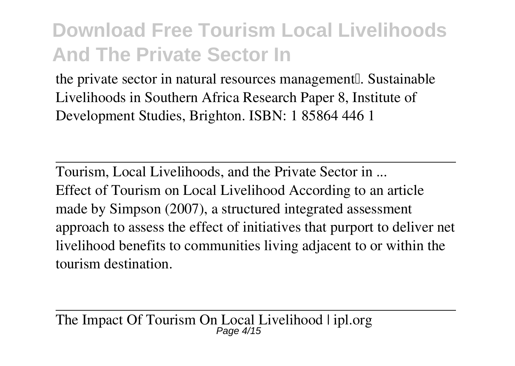the private sector in natural resources management. Sustainable Livelihoods in Southern Africa Research Paper 8, Institute of Development Studies, Brighton. ISBN: 1 85864 446 1

Tourism, Local Livelihoods, and the Private Sector in ... Effect of Tourism on Local Livelihood According to an article made by Simpson (2007), a structured integrated assessment approach to assess the effect of initiatives that purport to deliver net livelihood benefits to communities living adjacent to or within the tourism destination.

The Impact Of Tourism On Local Livelihood | ipl.org Page 4/15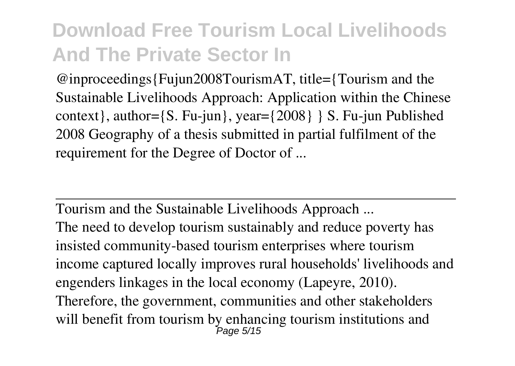@inproceedings{Fujun2008TourismAT, title={Tourism and the Sustainable Livelihoods Approach: Application within the Chinese context}, author={S. Fu-jun}, year={2008} } S. Fu-jun Published 2008 Geography of a thesis submitted in partial fulfilment of the requirement for the Degree of Doctor of ...

Tourism and the Sustainable Livelihoods Approach ... The need to develop tourism sustainably and reduce poverty has insisted community-based tourism enterprises where tourism income captured locally improves rural households' livelihoods and engenders linkages in the local economy (Lapeyre, 2010). Therefore, the government, communities and other stakeholders will benefit from tourism by enhancing tourism institutions and ,<br>Page 5/15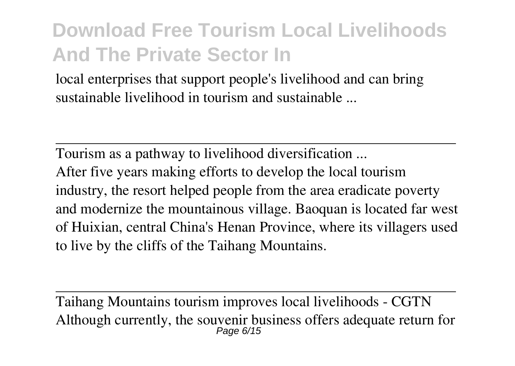local enterprises that support people's livelihood and can bring sustainable livelihood in tourism and sustainable ...

Tourism as a pathway to livelihood diversification ... After five years making efforts to develop the local tourism industry, the resort helped people from the area eradicate poverty and modernize the mountainous village. Baoquan is located far west of Huixian, central China's Henan Province, where its villagers used to live by the cliffs of the Taihang Mountains.

Taihang Mountains tourism improves local livelihoods - CGTN Although currently, the souvenir business offers adequate return for Page 6/15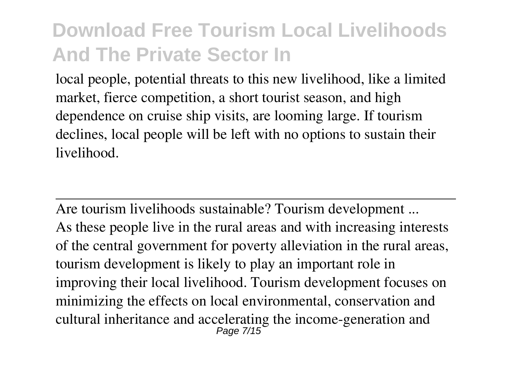local people, potential threats to this new livelihood, like a limited market, fierce competition, a short tourist season, and high dependence on cruise ship visits, are looming large. If tourism declines, local people will be left with no options to sustain their livelihood.

Are tourism livelihoods sustainable? Tourism development ... As these people live in the rural areas and with increasing interests of the central government for poverty alleviation in the rural areas, tourism development is likely to play an important role in improving their local livelihood. Tourism development focuses on minimizing the effects on local environmental, conservation and cultural inheritance and accelerating the income-generation and Page 7/15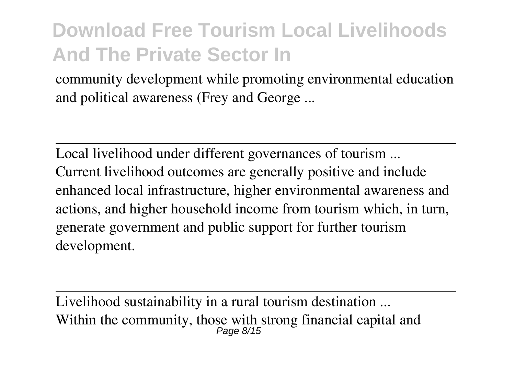community development while promoting environmental education and political awareness (Frey and George ...

Local livelihood under different governances of tourism ... Current livelihood outcomes are generally positive and include enhanced local infrastructure, higher environmental awareness and actions, and higher household income from tourism which, in turn, generate government and public support for further tourism development.

Livelihood sustainability in a rural tourism destination ... Within the community, those with strong financial capital and Page 8/15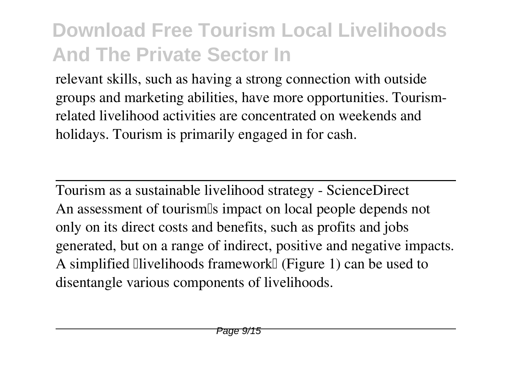relevant skills, such as having a strong connection with outside groups and marketing abilities, have more opportunities. Tourismrelated livelihood activities are concentrated on weekends and holidays. Tourism is primarily engaged in for cash.

Tourism as a sustainable livelihood strategy - ScienceDirect An assessment of tourism<sup>'s</sup> impact on local people depends not only on its direct costs and benefits, such as profits and jobs generated, but on a range of indirect, positive and negative impacts. A simplified  $\Box$  livelihoods framework  $\Box$  (Figure 1) can be used to disentangle various components of livelihoods.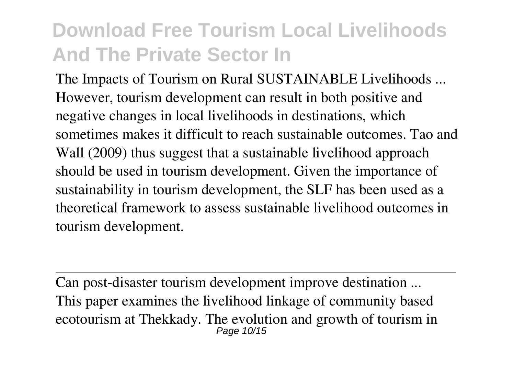The Impacts of Tourism on Rural SUSTAINABLE Livelihoods ... However, tourism development can result in both positive and negative changes in local livelihoods in destinations, which sometimes makes it difficult to reach sustainable outcomes. Tao and Wall (2009) thus suggest that a sustainable livelihood approach should be used in tourism development. Given the importance of sustainability in tourism development, the SLF has been used as a theoretical framework to assess sustainable livelihood outcomes in tourism development.

Can post-disaster tourism development improve destination ... This paper examines the livelihood linkage of community based ecotourism at Thekkady. The evolution and growth of tourism in Page 10/15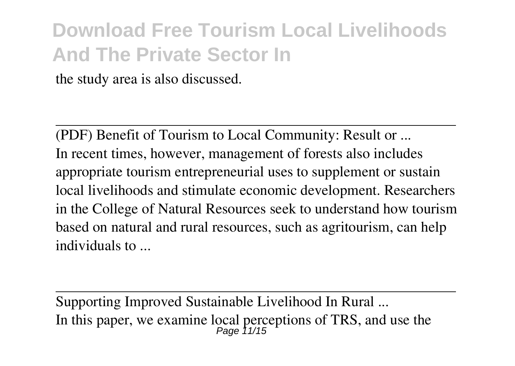the study area is also discussed.

(PDF) Benefit of Tourism to Local Community: Result or ... In recent times, however, management of forests also includes appropriate tourism entrepreneurial uses to supplement or sustain local livelihoods and stimulate economic development. Researchers in the College of Natural Resources seek to understand how tourism based on natural and rural resources, such as agritourism, can help individuals to ...

Supporting Improved Sustainable Livelihood In Rural ... In this paper, we examine local perceptions of TRS, and use the  $P_{\text{age}}$  11/15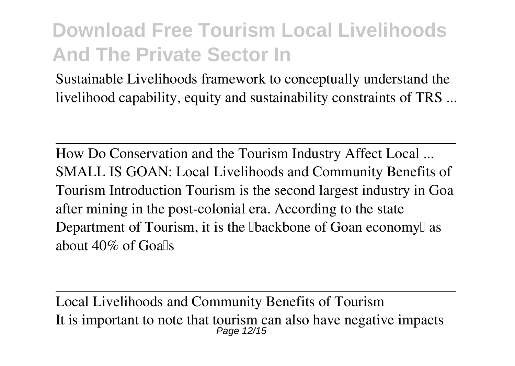Sustainable Livelihoods framework to conceptually understand the livelihood capability, equity and sustainability constraints of TRS ...

How Do Conservation and the Tourism Industry Affect Local ... SMALL IS GOAN: Local Livelihoods and Community Benefits of Tourism Introduction Tourism is the second largest industry in Goa after mining in the post-colonial era. According to the state Department of Tourism, it is the **Ibackbone** of Goan economy as about  $40\%$  of Goalls

Local Livelihoods and Community Benefits of Tourism It is important to note that tourism can also have negative impacts Page 12/15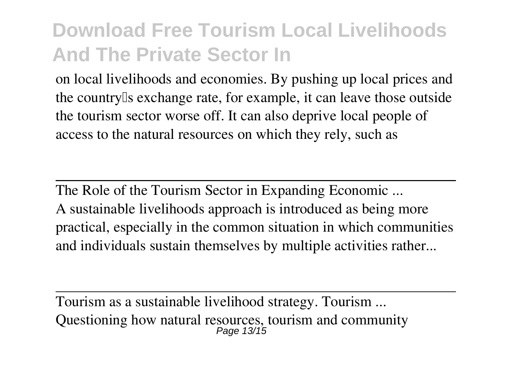on local livelihoods and economies. By pushing up local prices and the country's exchange rate, for example, it can leave those outside the tourism sector worse off. It can also deprive local people of access to the natural resources on which they rely, such as

The Role of the Tourism Sector in Expanding Economic ... A sustainable livelihoods approach is introduced as being more practical, especially in the common situation in which communities and individuals sustain themselves by multiple activities rather...

Tourism as a sustainable livelihood strategy. Tourism ... Questioning how natural resources, tourism and community Page 13/15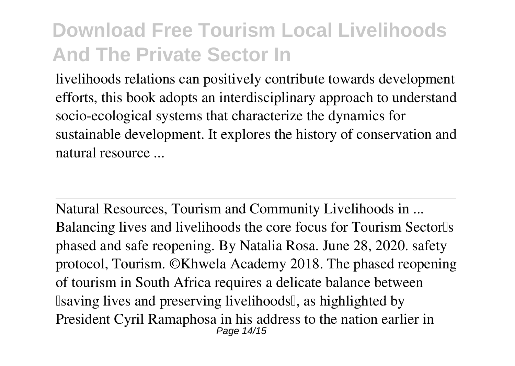livelihoods relations can positively contribute towards development efforts, this book adopts an interdisciplinary approach to understand socio-ecological systems that characterize the dynamics for sustainable development. It explores the history of conservation and natural resource ...

Natural Resources, Tourism and Community Livelihoods in ... Balancing lives and livelihoods the core focus for Tourism Sector<sup>[1]</sup>s phased and safe reopening. By Natalia Rosa. June 28, 2020. safety protocol, Tourism. ©Khwela Academy 2018. The phased reopening of tourism in South Africa requires a delicate balance between Isaving lives and preserving livelihoods I, as highlighted by President Cyril Ramaphosa in his address to the nation earlier in Page 14/15